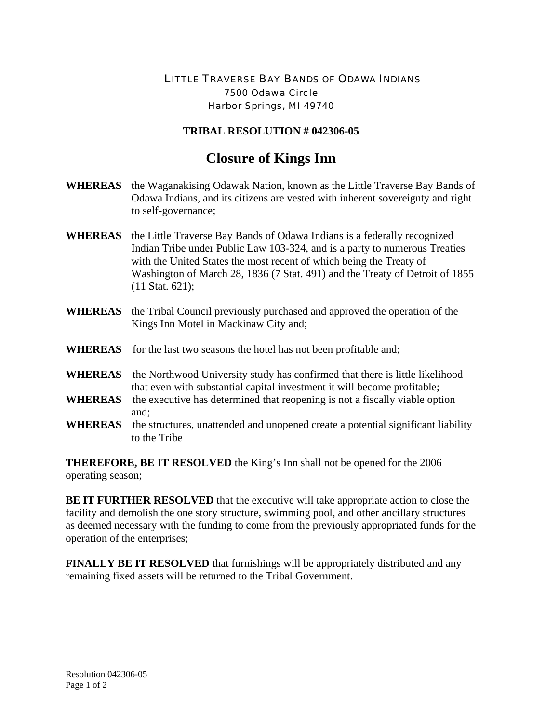## LITTLE TRAVERSE BAY BANDS OF ODAWA INDIANS 7500 Odawa Circle Harbor Springs, MI 49740

## **TRIBAL RESOLUTION # 042306-05**

## **Closure of Kings Inn**

| <b>WHEREAS</b> | the Waganakising Odawak Nation, known as the Little Traverse Bay Bands of<br>Odawa Indians, and its citizens are vested with inherent sovereignty and right<br>to self-governance;                                                                                                                                                          |  |  |
|----------------|---------------------------------------------------------------------------------------------------------------------------------------------------------------------------------------------------------------------------------------------------------------------------------------------------------------------------------------------|--|--|
| <b>WHEREAS</b> | the Little Traverse Bay Bands of Odawa Indians is a federally recognized<br>Indian Tribe under Public Law 103-324, and is a party to numerous Treaties<br>with the United States the most recent of which being the Treaty of<br>Washington of March 28, 1836 (7 Stat. 491) and the Treaty of Detroit of 1855<br>$(11 \text{ Stat. } 621);$ |  |  |
| <b>WHEREAS</b> | the Tribal Council previously purchased and approved the operation of the<br>Kings Inn Motel in Mackinaw City and;                                                                                                                                                                                                                          |  |  |
|                | <b>WHEREAS</b> for the last two seasons the hotel has not been profitable and;                                                                                                                                                                                                                                                              |  |  |
| <b>WHEREAS</b> | the Northwood University study has confirmed that there is little likelihood<br>that even with substantial capital investment it will become profitable;                                                                                                                                                                                    |  |  |
| <b>WHEREAS</b> | the executive has determined that reopening is not a fiscally viable option<br>and;                                                                                                                                                                                                                                                         |  |  |
| <b>WHEREAS</b> | the structures, unattended and unopened create a potential significant liability<br>to the Tribe                                                                                                                                                                                                                                            |  |  |

**THEREFORE, BE IT RESOLVED** the King's Inn shall not be opened for the 2006 operating season;

**BE IT FURTHER RESOLVED** that the executive will take appropriate action to close the facility and demolish the one story structure, swimming pool, and other ancillary structures as deemed necessary with the funding to come from the previously appropriated funds for the operation of the enterprises;

**FINALLY BE IT RESOLVED** that furnishings will be appropriately distributed and any remaining fixed assets will be returned to the Tribal Government.